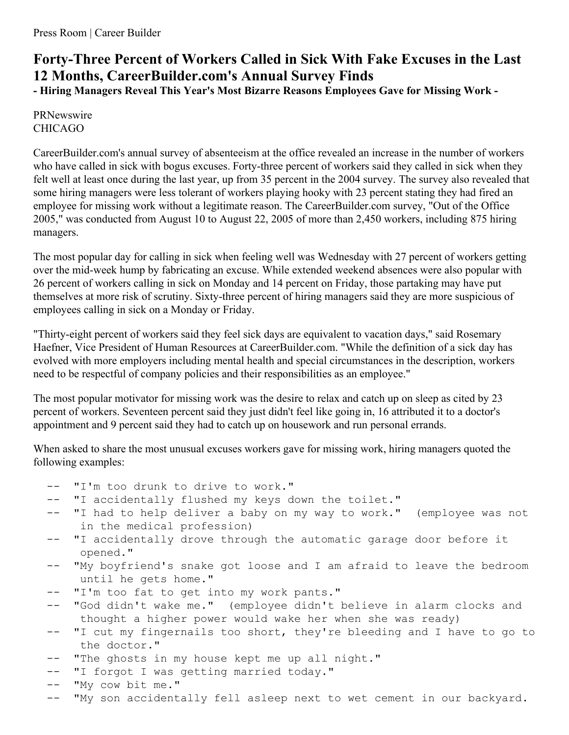## **Forty-Three Percent of Workers Called in Sick With Fake Excuses in the Last 12 Months, CareerBuilder.com's Annual Survey Finds**

**- Hiring Managers Reveal This Year's Most Bizarre Reasons Employees Gave for Missing Work -**

PRNewswire CHICAGO

CareerBuilder.com's annual survey of absenteeism at the office revealed an increase in the number of workers who have called in sick with bogus excuses. Forty-three percent of workers said they called in sick when they felt well at least once during the last year, up from 35 percent in the 2004 survey. The survey also revealed that some hiring managers were less tolerant of workers playing hooky with 23 percent stating they had fired an employee for missing work without a legitimate reason. The CareerBuilder.com survey, "Out of the Office 2005," was conducted from August 10 to August 22, 2005 of more than 2,450 workers, including 875 hiring managers.

The most popular day for calling in sick when feeling well was Wednesday with 27 percent of workers getting over the mid-week hump by fabricating an excuse. While extended weekend absences were also popular with 26 percent of workers calling in sick on Monday and 14 percent on Friday, those partaking may have put themselves at more risk of scrutiny. Sixty-three percent of hiring managers said they are more suspicious of employees calling in sick on a Monday or Friday.

"Thirty-eight percent of workers said they feel sick days are equivalent to vacation days," said Rosemary Haefner, Vice President of Human Resources at CareerBuilder.com. "While the definition of a sick day has evolved with more employers including mental health and special circumstances in the description, workers need to be respectful of company policies and their responsibilities as an employee."

The most popular motivator for missing work was the desire to relax and catch up on sleep as cited by 23 percent of workers. Seventeen percent said they just didn't feel like going in, 16 attributed it to a doctor's appointment and 9 percent said they had to catch up on housework and run personal errands.

When asked to share the most unusual excuses workers gave for missing work, hiring managers quoted the following examples:

- -- "I'm too drunk to drive to work."
- "I accidentally flushed my keys down the toilet."
- -- "I had to help deliver a baby on my way to work." (employee was not in the medical profession)
- "I accidentally drove through the automatic garage door before it opened."
- -- "My boyfriend's snake got loose and I am afraid to leave the bedroom until he gets home."
- -- "I'm too fat to get into my work pants."
- -- "God didn't wake me." (employee didn't believe in alarm clocks and thought a higher power would wake her when she was ready)
- "I cut my fingernails too short, they're bleeding and I have to go to the doctor."
- -- "The ghosts in my house kept me up all night."
- -- "I forgot I was getting married today."
- -- "My cow bit me."
- -- "My son accidentally fell asleep next to wet cement in our backyard.